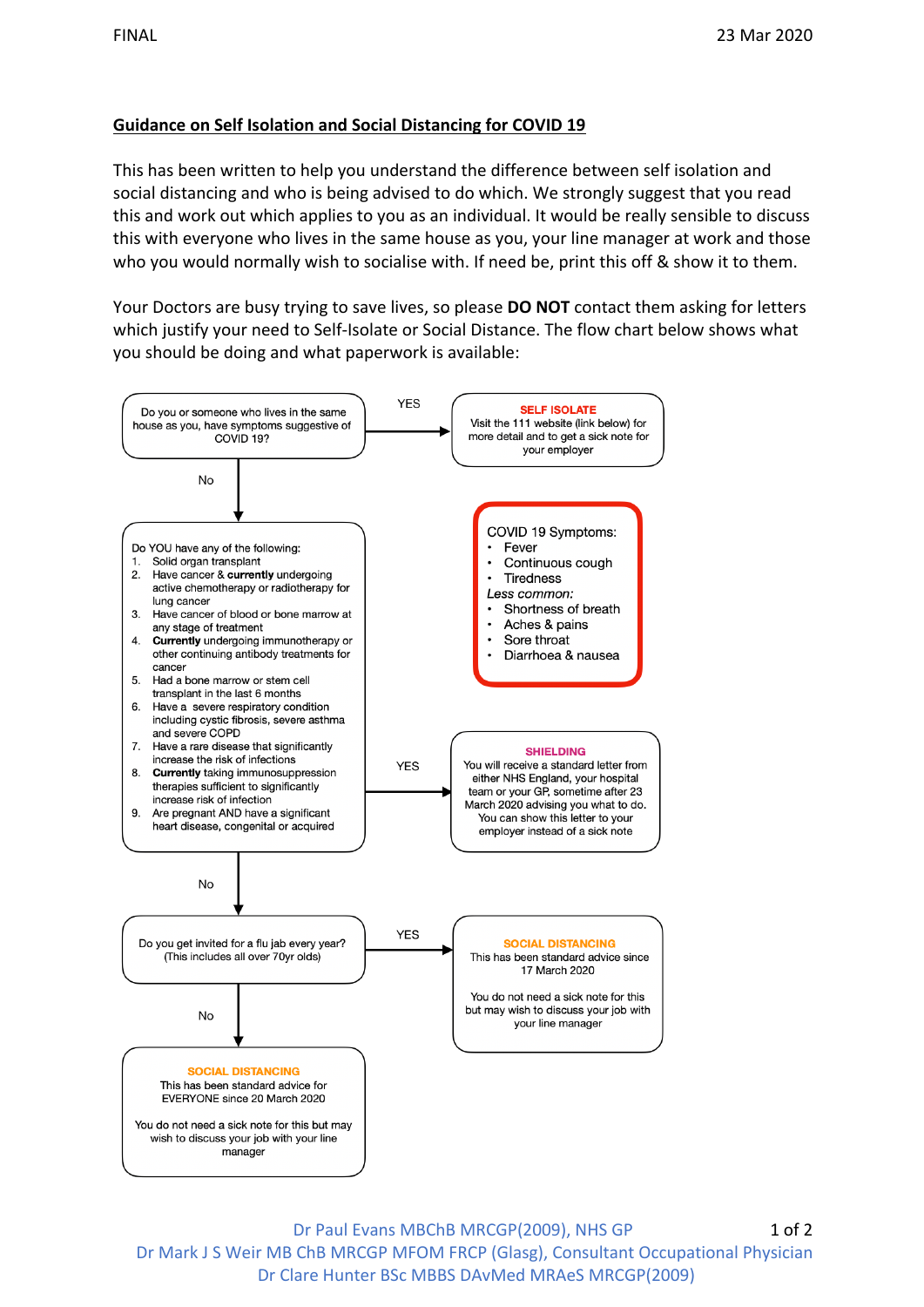## **Guidance on Self Isolation and Social Distancing for COVID 19**

This has been written to help you understand the difference between self isolation and social distancing and who is being advised to do which. We strongly suggest that you read this and work out which applies to you as an individual. It would be really sensible to discuss this with everyone who lives in the same house as you, your line manager at work and those who you would normally wish to socialise with. If need be, print this off & show it to them.

Your Doctors are busy trying to save lives, so please **DO NOT** contact them asking for letters which justify your need to Self-Isolate or Social Distance. The flow chart below shows what you should be doing and what paperwork is available:



Dr Paul Evans MBChB MRCGP(2009), NHS GP Dr Mark J S Weir MB ChB MRCGP MFOM FRCP (Glasg), Consultant Occupational Physician Dr Clare Hunter BSc MBBS DAvMed MRAeS MRCGP(2009) 1 of 2